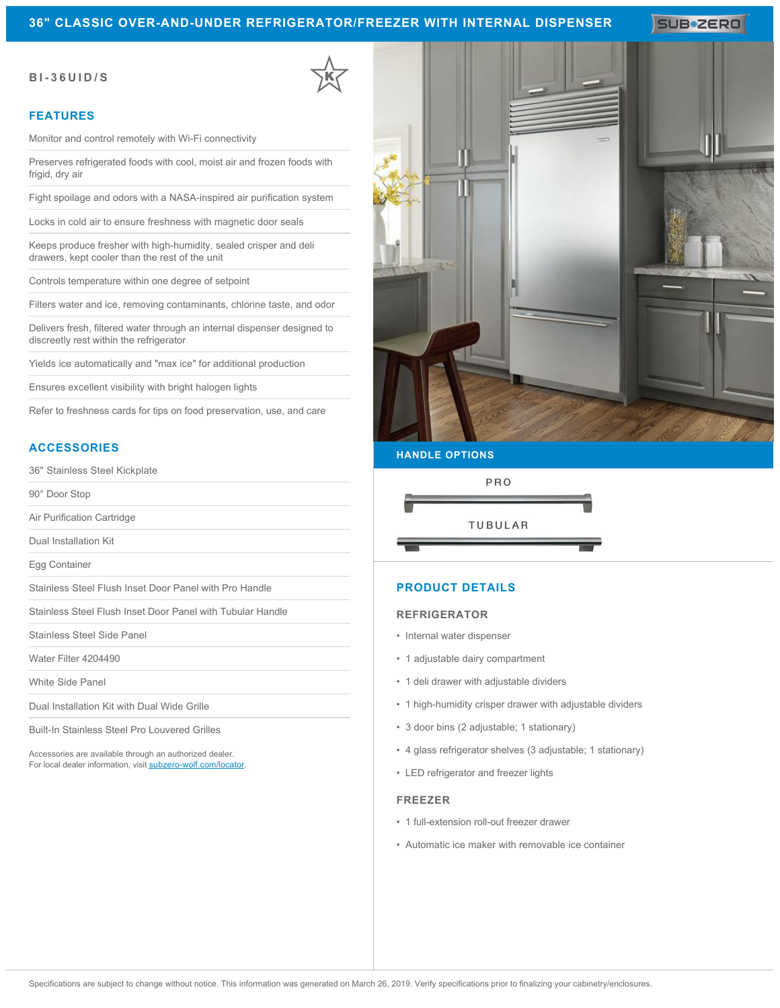## **36" CLASSIC OVER-AND-UNDER REFRIGERATOR/FREEZER WITH INTERNAL DISPENSER**

**SUB#ZERO** 

## **BI-36UID/S**

### **FEATURES**

Monitor and control remotely with Wi-Fi connectivity

Preserves refrigerated foods with cool, moist air and frozen foods with frigid, dry air

Fight spoilage and odors with a NASA-inspired air purification system

Locks in cold air to ensure freshness with magnetic door seals

Keeps produce fresher with high-humidity, sealed crisper and deli drawers, kept cooler than the rest of the unit

Controls temperature within one degree of setpoint

Filters water and ice, removing contaminants, chlorine taste, and odor

Delivers fresh, filtered water through an internal dispenser designed to discreetly rest within the refrigerator

Yields ice automatically and "max ice" for additional production

Ensures excellent visibility with bright halogen lights

Refer to freshness cards for tips on food preservation, use, and care

## **ACCESSORIES**

36" Stainless Steel Kickplate

90° Door Stop

Air Purification Cartridge

Dual Installation Kit

Egg Container

Stainless Steel Flush Inset Door Panel with Pro Handle

Stainless Steel Flush Inset Door Panel with Tubular Handle

Stainless Steel Side Panel

Water Filter 4204490

White Side Panel

Dual Installation Kit with Dual Wide Grille

Built-In Stainless Steel Pro Louvered Grilles

Accessories are available through an authorized dealer. For local dealer information, visit [subzero-wolf.com/locator.](http://www.subzero-wolf.com/locator)



# **HANDLE OPTIONS**



## **PRODUCT DETAILS**

#### **REFRIGERATOR**

- Internal water dispenser
- 1 adjustable dairy compartment
- 1 deli drawer with adjustable dividers
- 1 high-humidity crisper drawer with adjustable dividers
- 3 door bins (2 adjustable; 1 stationary)
- 4 glass refrigerator shelves (3 adjustable; 1 stationary)
- LED refrigerator and freezer lights

#### **FREEZER**

- 1 full-extension roll-out freezer drawer
- Automatic ice maker with removable ice container